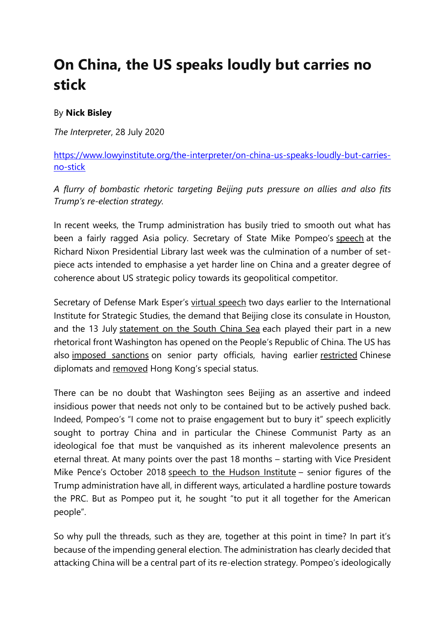## **On China, the US speaks loudly but carries no stick**

## By **Nick Bisley**

*The Interpreter*, 28 July 2020

[https://www.lowyinstitute.org/the-interpreter/on-china-us-speaks-loudly-but-carries](https://www.lowyinstitute.org/the-interpreter/on-china-us-speaks-loudly-but-carries-no-stick)[no-stick](https://www.lowyinstitute.org/the-interpreter/on-china-us-speaks-loudly-but-carries-no-stick)

*A flurry of bombastic rhetoric targeting Beijing puts pressure on allies and also fits Trump's re-election strategy.*

In recent weeks, the Trump administration has busily tried to smooth out what has been a fairly ragged Asia policy. Secretary of State Mike Pompeo's [speech](https://www.state.gov/communist-china-and-the-free-worlds-future/) at the Richard Nixon Presidential Library last week was the culmination of a number of setpiece acts intended to emphasise a yet harder line on China and a greater degree of coherence about US strategic policy towards its geopolitical competitor.

Secretary of Defense Mark Esper's [virtual speech](https://www.iiss.org/events/2020/07/special-presentation-us-secretary-of-defense) two days earlier to the International Institute for Strategic Studies, the demand that Beijing close its consulate in Houston, and the 13 July [statement on the South China Sea](https://www.state.gov/u-s-position-on-maritime-claims-in-the-south-china-sea/) each played their part in a new rhetorical front Washington has opened on the People's Republic of China. The US has also [imposed sanctions](https://www.theguardian.com/world/2020/jul/10/us-imposes-sanctions-on-senior-chinese-officials-over-uighur-abuses) on senior party officials, having earlier [restricted](https://www.nytimes.com/2019/10/16/world/asia/china-state-department-diplomats.html) Chinese diplomats and [removed](https://www.cnbc.com/2020/06/29/us-commerce-dept-ends-its-special-treatment-for-hong-kong.html) Hong Kong's special status.

There can be no doubt that Washington sees Beijing as an assertive and indeed insidious power that needs not only to be contained but to be actively pushed back. Indeed, Pompeo's "I come not to praise engagement but to bury it" speech explicitly sought to portray China and in particular the Chinese Communist Party as an ideological foe that must be vanquished as its inherent malevolence presents an eternal threat. At many points over the past 18 months – starting with Vice President Mike Pence's October 2018 [speech to the Hudson Institute](https://www.whitehouse.gov/briefings-statements/remarks-vice-president-pence-administrations-policy-toward-china/) - senior figures of the Trump administration have all, in different ways, articulated a hardline posture towards the PRC. But as Pompeo put it, he sought "to put it all together for the American people".

So why pull the threads, such as they are, together at this point in time? In part it's because of the impending general election. The administration has clearly decided that attacking China will be a central part of its re-election strategy. Pompeo's ideologically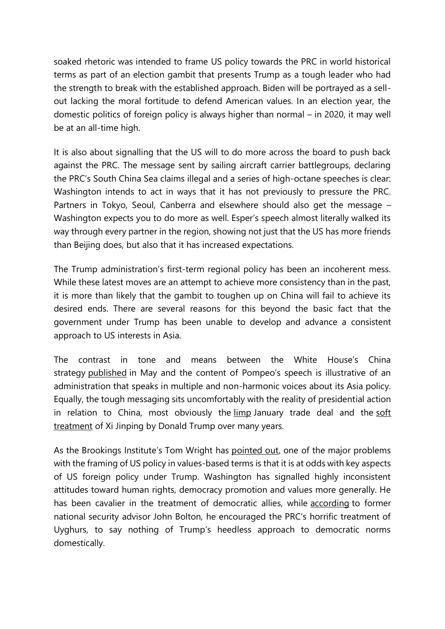soaked rhetoric was intended to frame US policy towards the PRC in world historical terms as part of an election gambit that presents Trump as a tough leader who had the strength to break with the established approach. Biden will be portrayed as a sellout lacking the moral fortitude to defend American values. In an election year, the domestic politics of foreign policy is always higher than normal – in 2020, it may well be at an all-time high.

It is also about signalling that the US will to do more across the board to push back against the PRC. The message sent by sailing aircraft carrier battlegroups, declaring the PRC's South China Sea claims illegal and a series of high-octane speeches is clear: Washington intends to act in ways that it has not previously to pressure the PRC. Partners in Tokyo, Seoul, Canberra and elsewhere should also get the message – Washington expects you to do more as well. Esper's speech almost literally walked its way through every partner in the region, showing not just that the US has more friends than Beijing does, but also that it has increased expectations.

The Trump administration's first-term regional policy has been an incoherent mess. While these latest moves are an attempt to achieve more consistency than in the past, it is more than likely that the gambit to toughen up on China will fail to achieve its desired ends. There are several reasons for this beyond the basic fact that the government under Trump has been unable to develop and advance a consistent approach to US interests in Asia.

The contrast in tone and means between the White House's China strategy [published](https://www.whitehouse.gov/wp-content/uploads/2020/05/U.S.-Strategic-Approach-to-The-Peoples-Republic-of-China-Report-5.20.20.pdf) in May and the content of Pompeo's speech is illustrative of an administration that speaks in multiple and non-harmonic voices about its Asia policy. Equally, the tough messaging sits uncomfortably with the reality of presidential action in relation to China, most obviously the [limp](https://www.lowyinstitute.org/the-interpreter/us-elbowing-australia-and-allies-race-china-market) January trade deal and the [soft](https://www.reuters.com/article/us-trump-china/trump-praises-chinese-president-extending-tenure-for-life-idUSKCN1GG015)  [treatment](https://www.reuters.com/article/us-trump-china/trump-praises-chinese-president-extending-tenure-for-life-idUSKCN1GG015) of Xi Jinping by Donald Trump over many years.

As the Brookings Institute's Tom Wright has [pointed out,](https://www.theatlantic.com/ideas/archive/2020/07/pompeos-surreal-speech-on-china/614596/) one of the major problems with the framing of US policy in values-based terms is that it is at odds with key aspects of US foreign policy under Trump. Washington has signalled highly inconsistent attitudes toward human rights, democracy promotion and values more generally. He has been cavalier in the treatment of democratic allies, while [according](https://www.axios.com/trump-uighur-muslim-bolton-73ebf1e2-9d34-4aaf-a9ba-17340d2847e4.html) to former national security advisor John Bolton, he encouraged the PRC's horrific treatment of Uyghurs, to say nothing of Trump's heedless approach to democratic norms domestically.